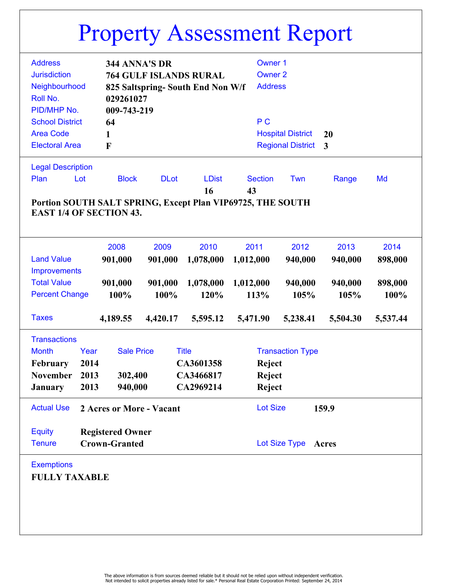|                                                            | ᆂ                         |                               |                        |                 | ᆂ                        |          |          |
|------------------------------------------------------------|---------------------------|-------------------------------|------------------------|-----------------|--------------------------|----------|----------|
| <b>Address</b>                                             |                           | 344 ANNA'S DR                 |                        | <b>Owner 1</b>  |                          |          |          |
|                                                            |                           |                               |                        |                 |                          |          |          |
| <b>Jurisdiction</b>                                        |                           | <b>764 GULF ISLANDS RURAL</b> |                        | <b>Owner 2</b>  |                          |          |          |
| Neighbourhood<br>825 Saltspring-South End Non W/f          |                           |                               |                        | <b>Address</b>  |                          |          |          |
| Roll No.                                                   | 029261027                 |                               |                        |                 |                          |          |          |
| PID/MHP No.                                                | 009-743-219               |                               |                        |                 |                          |          |          |
| <b>School District</b>                                     | 64                        |                               |                        | P <sub>C</sub>  |                          |          |          |
| <b>Area Code</b>                                           | 1                         |                               |                        |                 | <b>Hospital District</b> | 20       |          |
| <b>Electoral Area</b>                                      | F                         |                               |                        |                 | <b>Regional District</b> | 3        |          |
|                                                            |                           |                               |                        |                 |                          |          |          |
| <b>Legal Description</b>                                   |                           |                               |                        |                 |                          |          |          |
| Plan<br>Lot                                                | <b>Block</b>              | <b>DLot</b>                   | <b>LDist</b>           | <b>Section</b>  | Twn                      | Range    | Md       |
|                                                            |                           |                               |                        |                 |                          |          |          |
|                                                            |                           |                               | 16                     | 43              |                          |          |          |
| Portion SOUTH SALT SPRING, Except Plan VIP69725, THE SOUTH |                           |                               |                        |                 |                          |          |          |
| <b>EAST 1/4 OF SECTION 43.</b>                             |                           |                               |                        |                 |                          |          |          |
|                                                            |                           |                               |                        |                 |                          |          |          |
|                                                            | 2008                      | 2009                          | 2010                   | 2011            | 2012                     | 2013     | 2014     |
|                                                            |                           |                               |                        |                 |                          |          |          |
| <b>Land Value</b>                                          | 901,000                   | 901,000                       | 1,078,000              | 1,012,000       | 940,000                  | 940,000  | 898,000  |
| <b>Improvements</b>                                        |                           |                               |                        |                 |                          |          |          |
| <b>Total Value</b>                                         | 901,000                   | 901,000                       | 1,078,000              | 1,012,000       | 940,000                  | 940,000  | 898,000  |
| <b>Percent Change</b>                                      | 100%                      | 100%                          | 120%                   | 113%            | 105%                     | 105%     | 100%     |
|                                                            |                           |                               |                        |                 |                          |          |          |
| <b>Taxes</b>                                               | 4,189.55                  | 4,420.17                      | 5,595.12               | 5,471.90        | 5,238.41                 | 5,504.30 | 5,537.44 |
|                                                            |                           |                               |                        |                 |                          |          |          |
| <b>Transactions</b>                                        |                           |                               |                        |                 |                          |          |          |
| <b>Month</b>                                               | Year<br><b>Sale Price</b> |                               | <b>Title</b>           |                 | <b>Transaction Type</b>  |          |          |
| February                                                   | 2014                      |                               | CA3601358              | Reject          |                          |          |          |
| November                                                   | 302,400<br>2013           |                               | CA3466817              | <b>Reject</b>   |                          |          |          |
| January                                                    | 2013<br>940,000           |                               | CA2969214              | Reject          |                          |          |          |
|                                                            |                           |                               |                        |                 |                          |          |          |
| <b>Actual Use</b>                                          | 2 Acres or More - Vacant  |                               |                        | <b>Lot Size</b> |                          | 159.9    |          |
|                                                            |                           |                               |                        |                 |                          |          |          |
| <b>Equity</b>                                              | <b>Registered Owner</b>   |                               |                        |                 |                          |          |          |
| <b>Crown-Granted</b><br><b>Tenure</b>                      |                           |                               | Lot Size Type<br>Acres |                 |                          |          |          |
|                                                            |                           |                               |                        |                 |                          |          |          |
| <b>Exemptions</b>                                          |                           |                               |                        |                 |                          |          |          |
|                                                            |                           |                               |                        |                 |                          |          |          |
| <b>FULLY TAXABLE</b>                                       |                           |                               |                        |                 |                          |          |          |
|                                                            |                           |                               |                        |                 |                          |          |          |
|                                                            |                           |                               |                        |                 |                          |          |          |
|                                                            |                           |                               |                        |                 |                          |          |          |
|                                                            |                           |                               |                        |                 |                          |          |          |
|                                                            |                           |                               |                        |                 |                          |          |          |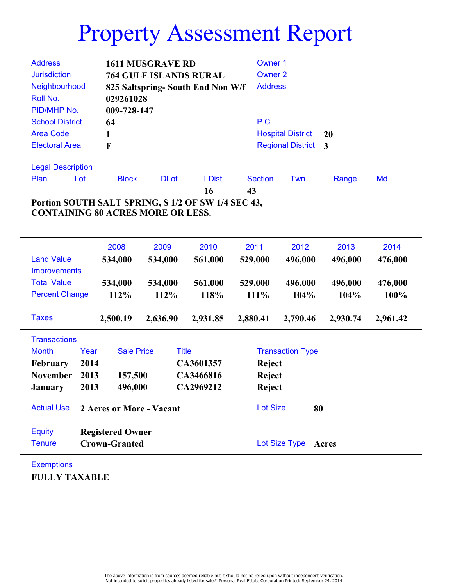|                                                                                 |                                          |                          |              |                |                                                    |          |                          | ᆂ                        |              |          |  |
|---------------------------------------------------------------------------------|------------------------------------------|--------------------------|--------------|----------------|----------------------------------------------------|----------|--------------------------|--------------------------|--------------|----------|--|
|                                                                                 | <b>Address</b>                           |                          |              |                |                                                    |          | <b>Owner 1</b>           |                          |              |          |  |
| <b>1611 MUSGRAVE RD</b><br><b>Jurisdiction</b><br><b>764 GULF ISLANDS RURAL</b> |                                          |                          |              | <b>Owner 2</b> |                                                    |          |                          |                          |              |          |  |
|                                                                                 |                                          | Neighbourhood            |              |                |                                                    |          | <b>Address</b>           |                          |              |          |  |
| 825 Saltspring-South End Non W/f<br>Roll No.<br>029261028                       |                                          |                          |              |                |                                                    |          |                          |                          |              |          |  |
|                                                                                 | PID/MHP No.                              |                          |              |                |                                                    |          |                          |                          |              |          |  |
|                                                                                 |                                          |                          | 009-728-147  |                |                                                    |          |                          |                          |              |          |  |
|                                                                                 | <b>School District</b>                   |                          | 64           |                |                                                    |          | P <sub>C</sub>           |                          |              |          |  |
|                                                                                 | <b>Area Code</b>                         |                          | 1            |                |                                                    |          | <b>Hospital District</b> | 20                       |              |          |  |
|                                                                                 | <b>Electoral Area</b>                    |                          | F            |                |                                                    |          |                          | <b>Regional District</b> | $\mathbf{3}$ |          |  |
|                                                                                 |                                          |                          |              |                |                                                    |          |                          |                          |              |          |  |
|                                                                                 | <b>Legal Description</b>                 |                          |              |                |                                                    |          |                          |                          |              |          |  |
|                                                                                 | Plan                                     | Lot                      | <b>Block</b> | <b>DLot</b>    | <b>LDist</b>                                       |          | <b>Section</b>           | Twn                      | Range        | Md       |  |
|                                                                                 |                                          |                          |              |                | 16                                                 | 43       |                          |                          |              |          |  |
|                                                                                 |                                          |                          |              |                | Portion SOUTH SALT SPRING, S 1/2 OF SW 1/4 SEC 43, |          |                          |                          |              |          |  |
|                                                                                 | <b>CONTAINING 80 ACRES MORE OR LESS.</b> |                          |              |                |                                                    |          |                          |                          |              |          |  |
|                                                                                 |                                          |                          |              |                |                                                    |          |                          |                          |              |          |  |
|                                                                                 |                                          |                          | 2008         | 2009           | 2010                                               | 2011     |                          | 2012                     | 2013         | 2014     |  |
|                                                                                 | <b>Land Value</b>                        |                          | 534,000      | 534,000        | 561,000                                            |          |                          | 496,000                  | 496,000      | 476,000  |  |
|                                                                                 |                                          |                          |              |                |                                                    | 529,000  |                          |                          |              |          |  |
| <b>Improvements</b>                                                             |                                          |                          |              |                |                                                    |          |                          |                          |              |          |  |
| <b>Total Value</b>                                                              |                                          |                          | 534,000      | 534,000        | 561,000                                            | 529,000  |                          | 496,000                  | 496,000      | 476,000  |  |
| <b>Percent Change</b>                                                           |                                          |                          | 112%<br>112% |                | 118%                                               | 111%     |                          | 104%                     | 104%         | 100%     |  |
|                                                                                 | <b>Taxes</b>                             |                          | 2,500.19     | 2,636.90       | 2,931.85                                           | 2,880.41 |                          | 2,790.46                 | 2,930.74     | 2,961.42 |  |
|                                                                                 |                                          |                          |              |                |                                                    |          |                          |                          |              |          |  |
|                                                                                 | <b>Transactions</b>                      |                          |              |                |                                                    |          |                          |                          |              |          |  |
| <b>Month</b><br>Year<br><b>Sale Price</b>                                       |                                          | <b>Title</b>             |              |                | <b>Transaction Type</b>                            |          |                          |                          |              |          |  |
| <b>February</b>                                                                 |                                          | 2014                     |              |                | CA3601357                                          |          | Reject                   |                          |              |          |  |
| November                                                                        |                                          | 2013                     | 157,500      |                | CA3466816                                          |          | <b>Reject</b>            |                          |              |          |  |
| <b>January</b>                                                                  |                                          | 2013                     | 496,000      |                | CA2969212                                          |          | <b>Reject</b>            |                          |              |          |  |
|                                                                                 |                                          |                          |              |                |                                                    |          |                          |                          |              |          |  |
|                                                                                 | <b>Actual Use</b>                        | 2 Acres or More - Vacant |              |                | <b>Lot Size</b><br>80                              |          |                          |                          |              |          |  |
|                                                                                 |                                          |                          |              |                |                                                    |          |                          |                          |              |          |  |
| <b>Equity</b><br><b>Registered Owner</b>                                        |                                          |                          |              |                |                                                    |          |                          |                          |              |          |  |
| <b>Tenure</b>                                                                   |                                          | <b>Crown-Granted</b>     |              |                | Lot Size Type<br>Acres                             |          |                          |                          |              |          |  |
|                                                                                 |                                          |                          |              |                |                                                    |          |                          |                          |              |          |  |
|                                                                                 | <b>Exemptions</b>                        |                          |              |                |                                                    |          |                          |                          |              |          |  |
| <b>FULLY TAXABLE</b>                                                            |                                          |                          |              |                |                                                    |          |                          |                          |              |          |  |
|                                                                                 |                                          |                          |              |                |                                                    |          |                          |                          |              |          |  |
|                                                                                 |                                          |                          |              |                |                                                    |          |                          |                          |              |          |  |
|                                                                                 |                                          |                          |              |                |                                                    |          |                          |                          |              |          |  |
|                                                                                 |                                          |                          |              |                |                                                    |          |                          |                          |              |          |  |
|                                                                                 |                                          |                          |              |                |                                                    |          |                          |                          |              |          |  |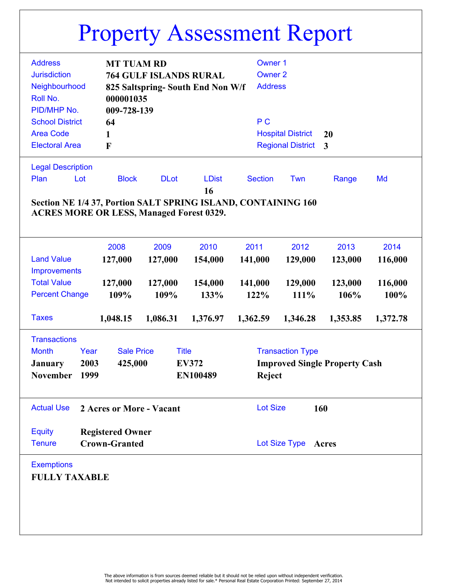|                                                               |                               |                         |                                  |                                  | ᆂ                                    |                |          |  |  |  |
|---------------------------------------------------------------|-------------------------------|-------------------------|----------------------------------|----------------------------------|--------------------------------------|----------------|----------|--|--|--|
| <b>Address</b>                                                | <b>MT TUAM RD</b>             |                         |                                  | <b>Owner 1</b>                   |                                      |                |          |  |  |  |
| <b>Jurisdiction</b>                                           | <b>764 GULF ISLANDS RURAL</b> |                         |                                  |                                  |                                      |                |          |  |  |  |
| Neighbourhood                                                 |                               |                         |                                  | <b>Owner 2</b><br><b>Address</b> |                                      |                |          |  |  |  |
|                                                               |                               |                         | 825 Saltspring-South End Non W/f |                                  |                                      |                |          |  |  |  |
| Roll No.                                                      | 000001035                     |                         |                                  |                                  |                                      |                |          |  |  |  |
| PID/MHP No.                                                   | 009-728-139                   |                         |                                  |                                  |                                      |                |          |  |  |  |
| <b>School District</b>                                        | 64                            |                         | P <sub>C</sub>                   |                                  |                                      |                |          |  |  |  |
| <b>Area Code</b>                                              | 1                             |                         |                                  |                                  | <b>Hospital District</b>             | 20             |          |  |  |  |
| <b>Electoral Area</b>                                         | F                             |                         |                                  |                                  | <b>Regional District</b>             | $\overline{3}$ |          |  |  |  |
|                                                               |                               |                         |                                  |                                  |                                      |                |          |  |  |  |
| <b>Legal Description</b>                                      |                               |                         |                                  |                                  |                                      |                |          |  |  |  |
| Plan<br>Lot                                                   | <b>Block</b>                  | <b>DLot</b>             | <b>LDist</b>                     | <b>Section</b>                   | Twn                                  | Range          | Md       |  |  |  |
|                                                               |                               |                         | 16                               |                                  |                                      |                |          |  |  |  |
| Section NE 1/4 37, Portion SALT SPRING ISLAND, CONTAINING 160 |                               |                         |                                  |                                  |                                      |                |          |  |  |  |
| <b>ACRES MORE OR LESS, Managed Forest 0329.</b>               |                               |                         |                                  |                                  |                                      |                |          |  |  |  |
|                                                               |                               |                         |                                  |                                  |                                      |                |          |  |  |  |
|                                                               |                               |                         |                                  |                                  |                                      |                |          |  |  |  |
|                                                               | 2008                          | 2009                    | 2010                             | 2011                             | 2012                                 | 2013           | 2014     |  |  |  |
| <b>Land Value</b>                                             | 127,000                       | 127,000                 | 154,000                          | 141,000                          | 129,000                              | 123,000        | 116,000  |  |  |  |
| Improvements                                                  |                               |                         |                                  |                                  |                                      |                |          |  |  |  |
| <b>Total Value</b>                                            | 127,000                       | 127,000                 | 154,000                          | 141,000                          | 129,000                              | 123,000        | 116,000  |  |  |  |
| <b>Percent Change</b>                                         | 109%                          |                         | 109%<br>133%                     | 122%                             | 111%                                 | 106%           | 100%     |  |  |  |
|                                                               |                               |                         |                                  |                                  |                                      |                |          |  |  |  |
| <b>Taxes</b>                                                  | 1,048.15                      | 1,086.31                | 1,376.97                         | 1,362.59                         | 1,346.28                             | 1,353.85       | 1,372.78 |  |  |  |
| <b>Transactions</b>                                           |                               |                         |                                  |                                  |                                      |                |          |  |  |  |
| <b>Month</b><br>Year                                          | <b>Sale Price</b>             | <b>Title</b>            |                                  |                                  | <b>Transaction Type</b>              |                |          |  |  |  |
| 2003<br><b>January</b>                                        |                               | 425,000<br><b>EV372</b> |                                  |                                  | <b>Improved Single Property Cash</b> |                |          |  |  |  |
|                                                               |                               |                         |                                  |                                  |                                      |                |          |  |  |  |
| November 1999<br>EN100489                                     |                               |                         |                                  | <b>Reject</b>                    |                                      |                |          |  |  |  |
|                                                               |                               |                         |                                  |                                  |                                      |                |          |  |  |  |
| <b>Actual Use</b><br>2 Acres or More - Vacant                 |                               |                         |                                  | <b>Lot Size</b><br>160           |                                      |                |          |  |  |  |
|                                                               |                               |                         |                                  |                                  |                                      |                |          |  |  |  |
| <b>Equity</b>                                                 | <b>Registered Owner</b>       |                         |                                  |                                  |                                      |                |          |  |  |  |
| <b>Crown-Granted</b><br><b>Tenure</b>                         |                               |                         |                                  | Lot Size Type<br>Acres           |                                      |                |          |  |  |  |
|                                                               |                               |                         |                                  |                                  |                                      |                |          |  |  |  |
| <b>Exemptions</b>                                             |                               |                         |                                  |                                  |                                      |                |          |  |  |  |
| <b>FULLY TAXABLE</b>                                          |                               |                         |                                  |                                  |                                      |                |          |  |  |  |
|                                                               |                               |                         |                                  |                                  |                                      |                |          |  |  |  |
|                                                               |                               |                         |                                  |                                  |                                      |                |          |  |  |  |
|                                                               |                               |                         |                                  |                                  |                                      |                |          |  |  |  |
|                                                               |                               |                         |                                  |                                  |                                      |                |          |  |  |  |
|                                                               |                               |                         |                                  |                                  |                                      |                |          |  |  |  |
|                                                               |                               |                         |                                  |                                  |                                      |                |          |  |  |  |